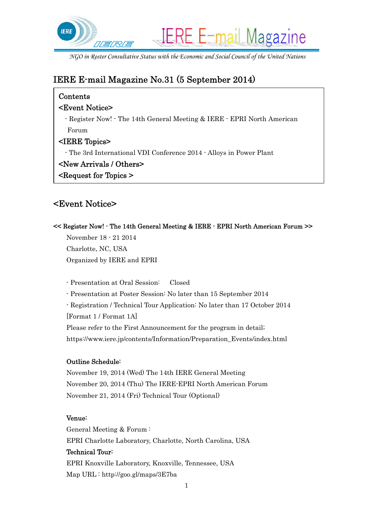

*NGO in Roster Consultative Status with the Economic and Social Council of the United Nations* 

# IERE E-mail Magazine No.31 (5 September 2014)

## Contents

## <Event Notice>

- Register Now! - The 14th General Meeting & IERE - EPRI North American Forum

## <IERE Topics>

- The 3rd International VDI Conference 2014 - Alloys in Power Plant

## <New Arrivals / Others>

<Request for Topics >

## <Event Notice>

<< Register Now! - The 14th General Meeting & IERE - EPRI North American Forum >>

November 18 - 21 2014 Charlotte, NC, USA Organized by IERE and EPRI

- Presentation at Oral Session: Closed

- Presentation at Poster Session: No later than 15 September 2014

- Registration / Technical Tour Application: No later than 17 October 2014

[Format 1 / Format 1A]

Please refer to the First Announcement for the program in detail; https://www.iere.jp/contents/Information/Preparation\_Events/index.html

### Outline Schedule:

November 19, 2014 (Wed) The 14th IERE General Meeting November 20, 2014 (Thu) The IERE-EPRI North American Forum November 21, 2014 (Fri) Technical Tour (Optional)

### Venue:

General Meeting & Forum : EPRI Charlotte Laboratory, Charlotte, North Carolina, USA Technical Tour: EPRI Knoxville Laboratory, Knoxville, Tennessee, USA Map URL : http://goo.gl/maps/3E7ba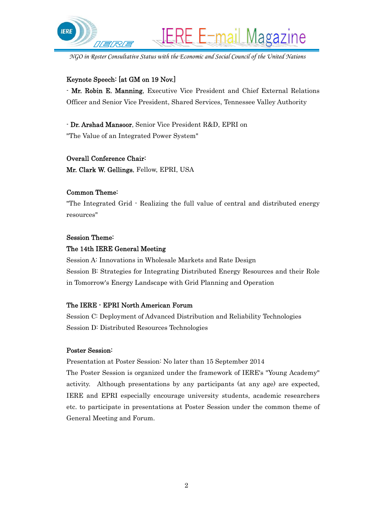

*NGO in Roster Consultative Status with the Economic and Social Council of the United Nations* 

#### Keynote Speech: [at GM on 19 Nov.]

- Mr. Robin E. Manning, Executive Vice President and Chief External Relations Officer and Senior Vice President, Shared Services, Tennessee Valley Authority

- Dr. Arshad Mansoor, Senior Vice President R&D, EPRI on "The Value of an Integrated Power System"

#### Overall Conference Chair:

Mr. Clark W. Gellings, Fellow, EPRI, USA

#### Common Theme:

"The Integrated Grid - Realizing the full value of central and distributed energy resources"

#### Session Theme:

#### The 14th IERE General Meeting

Session A: Innovations in Wholesale Markets and Rate Design Session B: Strategies for Integrating Distributed Energy Resources and their Role in Tomorrow's Energy Landscape with Grid Planning and Operation

#### The IERE - EPRI North American Forum

Session C: Deployment of Advanced Distribution and Reliability Technologies Session D: Distributed Resources Technologies

#### Poster Session:

Presentation at Poster Session: No later than 15 September 2014 The Poster Session is organized under the framework of IERE's "Young Academy" activity. Although presentations by any participants (at any age) are expected, IERE and EPRI especially encourage university students, academic researchers etc. to participate in presentations at Poster Session under the common theme of General Meeting and Forum.